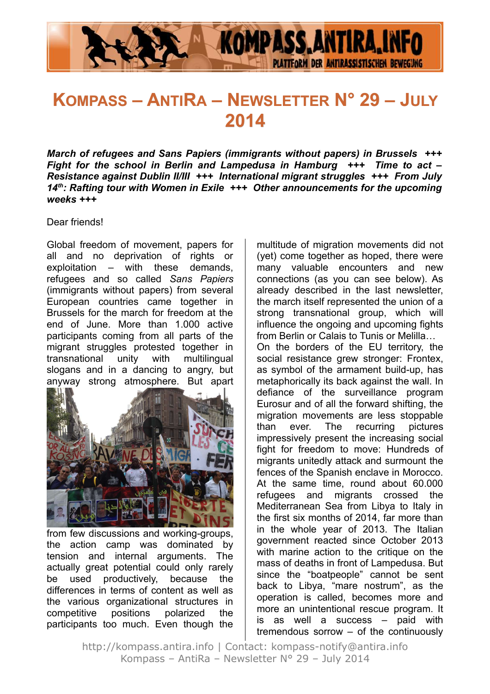

# **KOMPASS – ANTIRA – NEWSLETTER N° 29 – JULY 2014**

*March of refugees and Sans Papiers (immigrants without papers) in Brussels +++ Fight for the school in Berlin and Lampedusa in Hamburg +++ Time to act – Resistance against Dublin II/III +++ International migrant struggles +++ From July 14th: Rafting tour with Women in Exile +++ Other announcements for the upcoming weeks +++*

Dear friends!

Global freedom of movement, papers for all and no deprivation of rights or exploitation – with these demands, refugees and so called *Sans Papiers* (immigrants without papers) from several European countries came together in Brussels for the march for freedom at the end of June. More than 1.000 active participants coming from all parts of the migrant struggles protested together in transnational unity with multilingual slogans and in a dancing to angry, but anyway strong atmosphere. But apart



from few discussions and working-groups, the action camp was dominated by tension and internal arguments. The actually great potential could only rarely be used productively, because the differences in terms of content as well as the various organizational structures in competitive positions polarized the participants too much. Even though the multitude of migration movements did not (yet) come together as hoped, there were many valuable encounters and new connections (as you can see below). As already described in the last newsletter, the march itself represented the union of a strong transnational group, which will influence the ongoing and upcoming fights from Berlin or Calais to Tunis or Melilla… On the borders of the EU territory, the social resistance grew stronger: Frontex, as symbol of the armament build-up, has metaphorically its back against the wall. In defiance of the surveillance program Eurosur and of all the forward shifting, the migration movements are less stoppable than ever. The recurring pictures impressively present the increasing social fight for freedom to move: Hundreds of migrants unitedly attack and surmount the fences of the Spanish enclave in Morocco. At the same time, round about 60.000 refugees and migrants crossed the Mediterranean Sea from Libya to Italy in the first six months of 2014, far more than in the whole year of 2013. The Italian government reacted since October 2013 with marine action to the critique on the mass of deaths in front of Lampedusa. But since the "boatpeople" cannot be sent back to Libya, "mare nostrum", as the operation is called, becomes more and more an unintentional rescue program. It is as well a success – paid with tremendous sorrow – of the continuously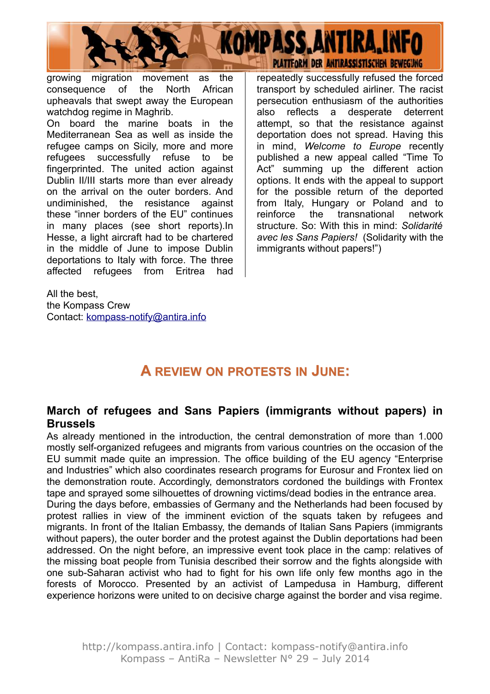

growing migration movement as the consequence of the North African upheavals that swept away the European watchdog regime in Maghrib.

On board the marine boats in the Mediterranean Sea as well as inside the refugee camps on Sicily, more and more refugees successfully refuse to be fingerprinted. The united action against Dublin II/III starts more than ever already on the arrival on the outer borders. And undiminished, the resistance against these "inner borders of the EU" continues in many places (see short reports).In Hesse, a light aircraft had to be chartered in the middle of June to impose Dublin deportations to Italy with force. The three affected refugees from Eritrea had

All the best the Kompass Crew Contact: kompass-notify@antira.info repeatedly successfully refused the forced transport by scheduled airliner. The racist persecution enthusiasm of the authorities also reflects a desperate deterrent attempt, so that the resistance against deportation does not spread. Having this in mind, *Welcome to Europe* recently published a new appeal called "Time To Act" summing up the different action options. It ends with the appeal to support for the possible return of the deported from Italy, Hungary or Poland and to reinforce the transnational network structure. So: With this in mind: *Solidarité avec les Sans Papiers!* (Solidarity with the immigrants without papers!")

# **A REVIEW ON PROTESTS IN JUNE:**

#### **March of refugees and Sans Papiers (immigrants without papers) in Brussels**

As already mentioned in the introduction, the central demonstration of more than 1.000 mostly self-organized refugees and migrants from various countries on the occasion of the EU summit made quite an impression. The office building of the EU agency "Enterprise and Industries" which also coordinates research programs for Eurosur and Frontex lied on the demonstration route. Accordingly, demonstrators cordoned the buildings with Frontex tape and sprayed some silhouettes of drowning victims/dead bodies in the entrance area.

During the days before, embassies of Germany and the Netherlands had been focused by protest rallies in view of the imminent eviction of the squats taken by refugees and migrants. In front of the Italian Embassy, the demands of Italian Sans Papiers (immigrants without papers), the outer border and the protest against the Dublin deportations had been addressed. On the night before, an impressive event took place in the camp; relatives of the missing boat people from Tunisia described their sorrow and the fights alongside with one sub-Saharan activist who had to fight for his own life only few months ago in the forests of Morocco. Presented by an activist of Lampedusa in Hamburg, different experience horizons were united to on decisive charge against the border and visa regime.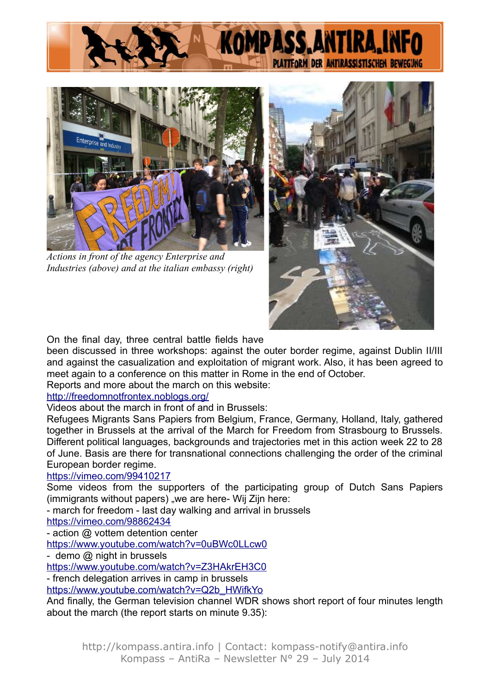



*Actions in front of the agency Enterprise and Industries (above) and at the italian embassy (right)*



On the final day, three central battle fields have

been discussed in three workshops: against the outer border regime, against Dublin II/III and against the casualization and exploitation of migrant work. Also, it has been agreed to meet again to a conference on this matter in Rome in the end of October.

Reports and more about the march on this website:

#### <http://freedomnotfrontex.noblogs.org/>

Videos about the march in front of and in Brussels:

Refugees Migrants Sans Papiers from Belgium, France, Germany, Holland, Italy, gathered together in Brussels at the arrival of the March for Freedom from Strasbourg to Brussels. Different political languages, backgrounds and trajectories met in this action week 22 to 28 of June. Basis are there for transnational connections challenging the order of the criminal European border regime.

#### <https://vimeo.com/99410217>

Some videos from the supporters of the participating group of Dutch Sans Papiers (immigrants without papers) "we are here- Wij Zijn here:

- march for freedom - last day walking and arrival in brussels

<https://vimeo.com/98862434>

- action @ vottem detention center

<https://www.youtube.com/watch?v=0uBWc0LLcw0>

- demo @ night in brussels

<https://www.youtube.com/watch?v=Z3HAkrEH3C0>

- french delegation arrives in camp in brussels

[https://www.youtube.com/watch?v=Q2b\\_HWifkYo](https://www.youtube.com/watch?v=Q2b_HWifkYo)

And finally, the German television channel WDR shows short report of four minutes length about the march (the report starts on minute 9.35):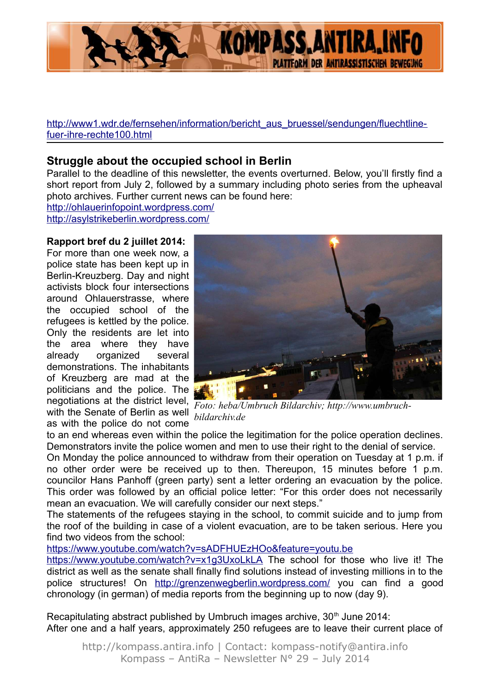

[http://www1.wdr.de/fernsehen/information/bericht\\_aus\\_bruessel/sendungen/fluechtline](http://www1.wdr.de/fernsehen/information/bericht_aus_bruessel/sendungen/fluechtline-fuer-ihre-rechte100.html)[fuer-ihre-rechte100.html](http://www1.wdr.de/fernsehen/information/bericht_aus_bruessel/sendungen/fluechtline-fuer-ihre-rechte100.html)

#### **Struggle about the occupied school in Berlin**

Parallel to the deadline of this newsletter, the events overturned. Below, you'll firstly find a short report from July 2, followed by a summary including photo series from the upheaval photo archives. Further current news can be found here:

<http://ohlauerinfopoint.wordpress.com/> <http://asylstrikeberlin.wordpress.com/>

#### **Rapport bref du 2 juillet 2014:**

For more than one week now, a police state has been kept up in Berlin-Kreuzberg. Day and night activists block four intersections around Ohlauerstrasse, where the occupied school of the refugees is kettled by the police. Only the residents are let into the area where they have already organized several demonstrations. The inhabitants of Kreuzberg are mad at the politicians and the police. The negotiations at the district level, with the Senate of Berlin as well *bildarchiv.de* as with the police do not come



*Foto: heba/Umbruch Bildarchiv; http://www.umbruch-*

to an end whereas even within the police the legitimation for the police operation declines. Demonstrators invite the police women and men to use their right to the denial of service.

On Monday the police announced to withdraw from their operation on Tuesday at 1 p.m. if no other order were be received up to then. Thereupon, 15 minutes before 1 p.m. councilor Hans Panhoff (green party) sent a letter ordering an evacuation by the police. This order was followed by an official police letter: "For this order does not necessarily mean an evacuation. We will carefully consider our next steps."

The statements of the refugees staying in the school, to commit suicide and to jump from the roof of the building in case of a violent evacuation, are to be taken serious. Here you find two videos from the school:

<https://www.youtube.com/watch?v=sADFHUEzHOo&feature=youtu.be>

<https://www.youtube.com/watch?v=x1g3UxoLkLA>The school for those who live it! The district as well as the senate shall finally find solutions instead of investing millions in to the police structures! On<http://grenzenwegberlin.wordpress.com/>you can find a good chronology (in german) of media reports from the beginning up to now (day 9).

Recapitulating abstract published by Umbruch images archive, 30<sup>th</sup> June 2014: After one and a half years, approximately 250 refugees are to leave their current place of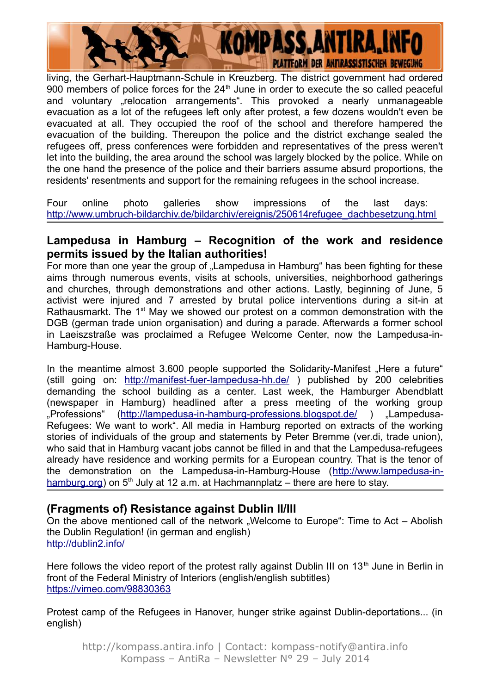**KOMPASS, ANTIRA, INFO PLATTFORM DER ANTIRASSISTISCHEN BEWEGUNG** 

living, the Gerhart-Hauptmann-Schule in Kreuzberg. The district government had ordered 900 members of police forces for the  $24<sup>th</sup>$  June in order to execute the so called peaceful and voluntary "relocation arrangements". This provoked a nearly unmanageable evacuation as a lot of the refugees left only after protest, a few dozens wouldn't even be evacuated at all. They occupied the roof of the school and therefore hampered the evacuation of the building. Thereupon the police and the district exchange sealed the refugees off, press conferences were forbidden and representatives of the press weren't let into the building, the area around the school was largely blocked by the police. While on the one hand the presence of the police and their barriers assume absurd proportions, the residents' resentments and support for the remaining refugees in the school increase.

Four online photo galleries show impressions of the last days: [http://www.umbruch-bildarchiv.de/bildarchiv/ereignis/250614refugee\\_dachbesetzung.html](http://www.umbruch-bildarchiv.de/bildarchiv/ereignis/250614refugee_dachbesetzung.html)

#### **Lampedusa in Hamburg – Recognition of the work and residence permits issued by the Italian authorities!**

For more than one year the group of ..Lampedusa in Hamburg has been fighting for these aims through numerous events, visits at schools, universities, neighborhood gatherings and churches, through demonstrations and other actions. Lastly, beginning of June, 5 activist were injured and 7 arrested by brutal police interventions during a sit-in at Rathausmarkt. The 1<sup>st</sup> May we showed our protest on a common demonstration with the DGB (german trade union organisation) and during a parade. Afterwards a former school in Laeiszstraße was proclaimed a Refugee Welcome Center, now the Lampedusa-in-Hamburg-House.

In the meantime almost 3.600 people supported the Solidarity-Manifest "Here a future" (still going on:<http://manifest-fuer-lampedusa-hh.de/>) published by 200 celebrities demanding the school building as a center. Last week, the Hamburger Abendblatt (newspaper in Hamburg) headlined after a press meeting of the working group "Professions" [\(http://lampedusa-in-hamburg-professions.blogspot.de/](http://lampedusa-in-hamburg-professions.blogspot.de/) ) "Lampedusa-Refugees: We want to work". All media in Hamburg reported on extracts of the working stories of individuals of the group and statements by Peter Bremme (ver.di, trade union), who said that in Hamburg vacant jobs cannot be filled in and that the Lampedusa-refugees already have residence and working permits for a European country. That is the tenor of the demonstration on the Lampedusa-in-Hamburg-House [\(http://www.lampedusa-in](http://www.lampedusa-in-hamburg.org/)[hamburg.org\)](http://www.lampedusa-in-hamburg.org/) on  $5<sup>th</sup>$  July at 12 a.m. at Hachmannplatz – there are here to stay.

### **(Fragments of) Resistance against Dublin II/III**

On the above mentioned call of the network "Welcome to Europe": Time to Act – Abolish the Dublin Regulation! (in german and english) <http://dublin2.info/>

Here follows the video report of the protest rally against Dublin III on  $13<sup>th</sup>$  June in Berlin in front of the Federal Ministry of Interiors (english/english subtitles) <https://vimeo.com/98830363>

Protest camp of the Refugees in Hanover, hunger strike against Dublin-deportations... (in english)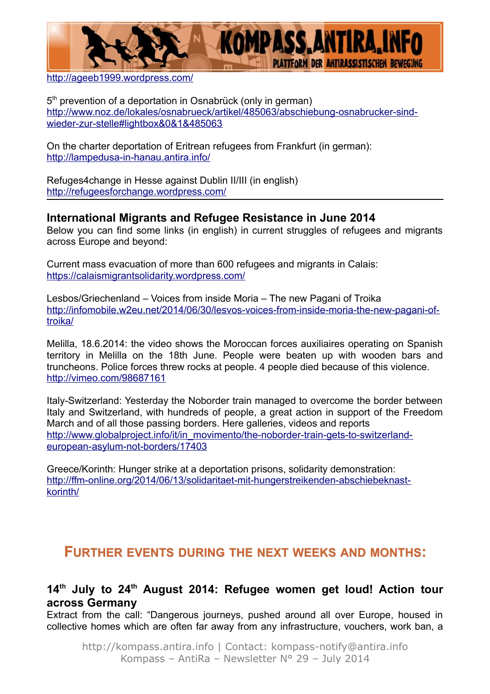

<http://ageeb1999.wordpress.com/>

5<sup>th</sup> prevention of a deportation in Osnabrück (only in german) [http://www.noz.de/lokales/osnabrueck/artikel/485063/abschiebung-osnabrucker-sind](http://www.noz.de/lokales/osnabrueck/artikel/485063/abschiebung-osnabrucker-sind-wieder-zur-stelle#lightbox&0&1&485063)[wieder-zur-stelle#lightbox&0&1&485063](http://www.noz.de/lokales/osnabrueck/artikel/485063/abschiebung-osnabrucker-sind-wieder-zur-stelle#lightbox&0&1&485063)

On the charter deportation of Eritrean refugees from Frankfurt (in german): <http://lampedusa-in-hanau.antira.info/>

Refuges4change in Hesse against Dublin II/III (in english) <http://refugeesforchange.wordpress.com/>

#### **International Migrants and Refugee Resistance in June 2014**

Below you can find some links (in english) in current struggles of refugees and migrants across Europe and beyond:

Current mass evacuation of more than 600 refugees and migrants in Calais: <https://calaismigrantsolidarity.wordpress.com/>

Lesbos/Griechenland – Voices from inside Moria – The new Pagani of Troika [http://infomobile.w2eu.net/2014/06/30/lesvos-voices-from-inside-moria-the-new-pagani-of](http://infomobile.w2eu.net/2014/06/30/lesvos-voices-from-inside-moria-the-new-pagani-of-troika/)[troika/](http://infomobile.w2eu.net/2014/06/30/lesvos-voices-from-inside-moria-the-new-pagani-of-troika/)

Melilla, 18.6.2014: the video shows the Moroccan forces auxiliaires operating on Spanish territory in Melilla on the 18th June. People were beaten up with wooden bars and truncheons. Police forces threw rocks at people. 4 people died because of this violence. <http://vimeo.com/98687161>

Italy-Switzerland: Yesterday the Noborder train managed to overcome the border between Italy and Switzerland, with hundreds of people, a great action in support of the Freedom March and of all those passing borders. Here galleries, videos and reports [http://www.globalproject.info/it/in\\_movimento/the-noborder-train-gets-to-switzerland](http://www.globalproject.info/it/in_movimento/the-noborder-train-gets-to-switzerland-european-asylum-not-borders/17403) european-asylum-not-borders/17403

Greece/Korinth: Hunger strike at a deportation prisons, solidarity demonstration: [http://ffm-online.org/2014/06/13/solidaritaet-mit-hungerstreikenden-abschiebeknast](http://ffm-online.org/2014/06/13/solidaritaet-mit-hungerstreikenden-abschiebeknast-korinth/)[korinth/](http://ffm-online.org/2014/06/13/solidaritaet-mit-hungerstreikenden-abschiebeknast-korinth/)

# **FURTHER EVENTS DURING THE NEXT WEEKS AND MONTHS:**

#### **14th July to 24th August 2014: Refugee women get loud! Action tour across Germany**

Extract from the call: "Dangerous journeys, pushed around all over Europe, housed in collective homes which are often far away from any infrastructure, vouchers, work ban, a